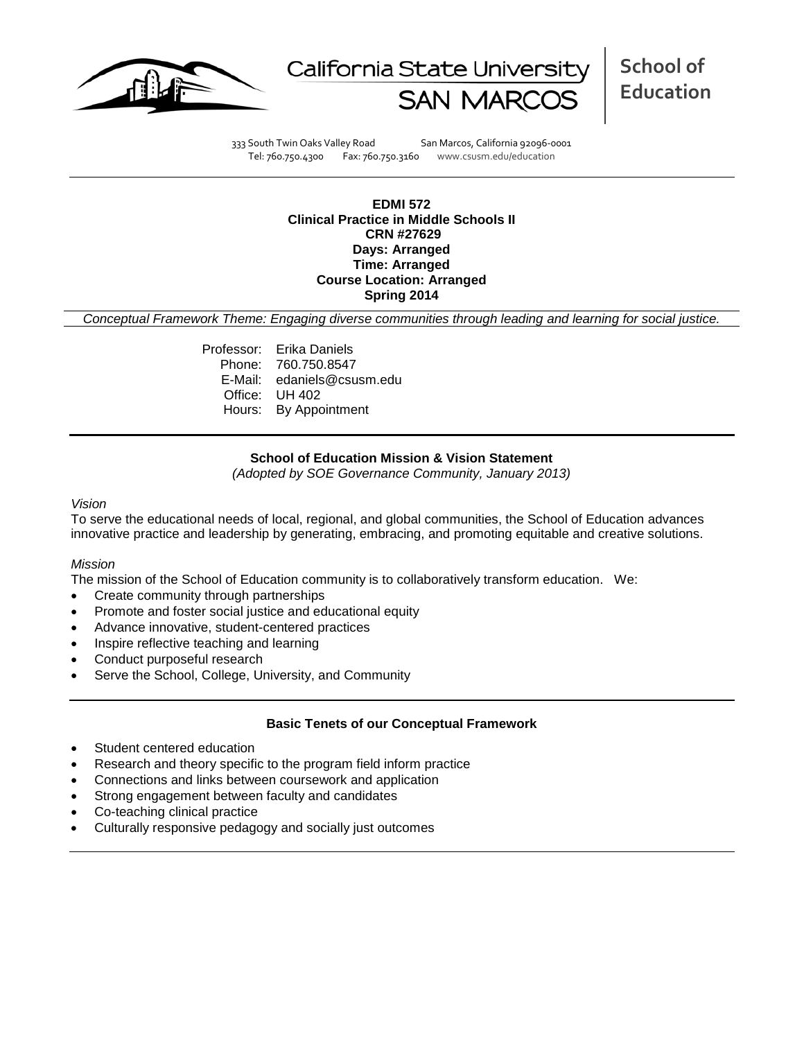



**School of Education**

333 South Twin Oaks Valley Road San Marcos, California 92096-0001 Tel: 760.750.4300 Fax: 760.750.3160 www.csusm.edu/education

**EDMI 572 Clinical Practice in Middle Schools II CRN #27629 Days: Arranged Time: Arranged Course Location: Arranged Spring 2014** 

*Conceptual Framework Theme: Engaging diverse communities through leading and learning for social justice.*

Professor: Erika Daniels Phone: 760.750.8547 E-Mail: edaniels@csusm.edu Office: UH 402 Hours: By Appointment

### **School of Education Mission & Vision Statement**

*(Adopted by SOE Governance Community, January 2013)*

#### *Vision*

To serve the educational needs of local, regional, and global communities, the School of Education advances innovative practice and leadership by generating, embracing, and promoting equitable and creative solutions.

### *Mission*

The mission of the School of Education community is to collaboratively transform education. We:

- Create community through partnerships
- Promote and foster social justice and educational equity
- Advance innovative, student-centered practices
- Inspire reflective teaching and learning
- Conduct purposeful research
- Serve the School, College, University, and Community

### **Basic Tenets of our Conceptual Framework**

- Student centered education
- Research and theory specific to the program field inform practice
- Connections and links between coursework and application
- Strong engagement between faculty and candidates
- Co-teaching clinical practice
- Culturally responsive pedagogy and socially just outcomes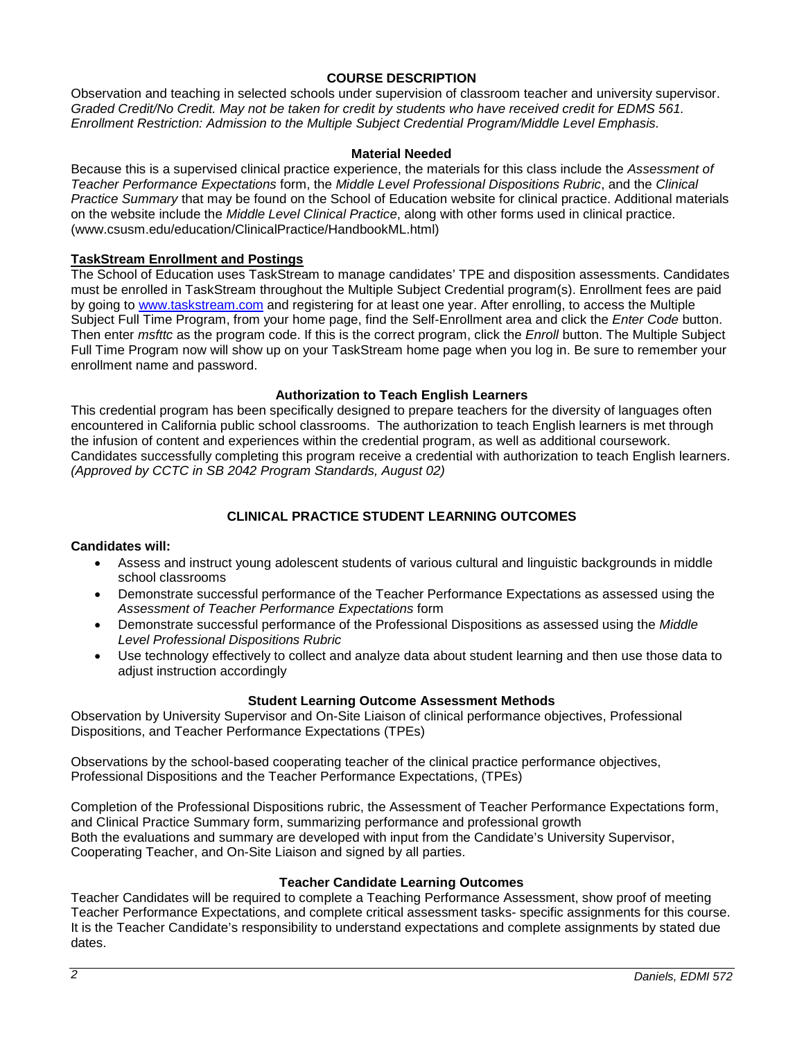### **COURSE DESCRIPTION**

Observation and teaching in selected schools under supervision of classroom teacher and university supervisor. *Graded Credit/No Credit. May not be taken for credit by students who have received credit for EDMS 561. Enrollment Restriction: Admission to the Multiple Subject Credential Program/Middle Level Emphasis.*

### **Material Needed**

Because this is a supervised clinical practice experience, the materials for this class include the *Assessment of Teacher Performance Expectations* form, the *Middle Level Professional Dispositions Rubric*, and the *Clinical Practice Summary* that may be found on the School of Education website for clinical practice. Additional materials on the website include the *Middle Level Clinical Practice*, along with other forms used in clinical practice. (www.csusm.edu/education/ClinicalPractice/HandbookML.html)

### **TaskStream Enrollment and Postings**

The School of Education uses TaskStream to manage candidates' TPE and disposition assessments. Candidates must be enrolled in TaskStream throughout the Multiple Subject Credential program(s). Enrollment fees are paid by going to [www.taskstream.com](http://www.taskstrem.com/) and registering for at least one year. After enrolling, to access the Multiple Subject Full Time Program, from your home page, find the Self-Enrollment area and click the *Enter Code* button. Then enter *msfttc* as the program code. If this is the correct program, click the *Enroll* button. The Multiple Subject Full Time Program now will show up on your TaskStream home page when you log in. Be sure to remember your enrollment name and password.

#### **Authorization to Teach English Learners**

This credential program has been specifically designed to prepare teachers for the diversity of languages often encountered in California public school classrooms. The authorization to teach English learners is met through the infusion of content and experiences within the credential program, as well as additional coursework. Candidates successfully completing this program receive a credential with authorization to teach English learners. *(Approved by CCTC in SB 2042 Program Standards, August 02)*

# **CLINICAL PRACTICE STUDENT LEARNING OUTCOMES**

#### **Candidates will:**

- Assess and instruct young adolescent students of various cultural and linguistic backgrounds in middle school classrooms
- Demonstrate successful performance of the Teacher Performance Expectations as assessed using the *Assessment of Teacher Performance Expectations* form
- Demonstrate successful performance of the Professional Dispositions as assessed using the *Middle Level Professional Dispositions Rubric*
- Use technology effectively to collect and analyze data about student learning and then use those data to adjust instruction accordingly

### **Student Learning Outcome Assessment Methods**

Observation by University Supervisor and On-Site Liaison of clinical performance objectives, Professional Dispositions, and Teacher Performance Expectations (TPEs)

Observations by the school-based cooperating teacher of the clinical practice performance objectives, Professional Dispositions and the Teacher Performance Expectations, (TPEs)

Completion of the Professional Dispositions rubric, the Assessment of Teacher Performance Expectations form, and Clinical Practice Summary form, summarizing performance and professional growth Both the evaluations and summary are developed with input from the Candidate's University Supervisor, Cooperating Teacher, and On-Site Liaison and signed by all parties.

### **Teacher Candidate Learning Outcomes**

Teacher Candidates will be required to complete a Teaching Performance Assessment, show proof of meeting Teacher Performance Expectations, and complete critical assessment tasks- specific assignments for this course. It is the Teacher Candidate's responsibility to understand expectations and complete assignments by stated due dates.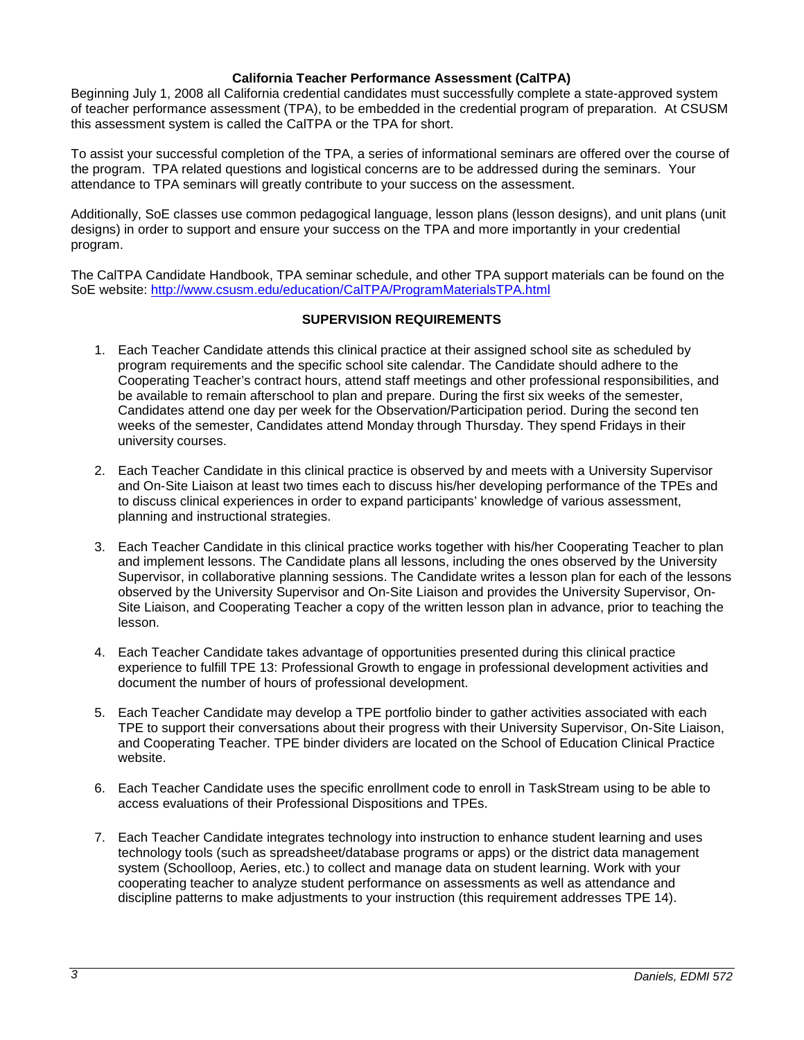### **California Teacher Performance Assessment (CalTPA)**

Beginning July 1, 2008 all California credential candidates must successfully complete a state-approved system of teacher performance assessment (TPA), to be embedded in the credential program of preparation. At CSUSM this assessment system is called the CalTPA or the TPA for short.

To assist your successful completion of the TPA, a series of informational seminars are offered over the course of the program. TPA related questions and logistical concerns are to be addressed during the seminars. Your attendance to TPA seminars will greatly contribute to your success on the assessment.

Additionally, SoE classes use common pedagogical language, lesson plans (lesson designs), and unit plans (unit designs) in order to support and ensure your success on the TPA and more importantly in your credential program.

The CalTPA Candidate Handbook, TPA seminar schedule, and other TPA support materials can be found on the SoE website:<http://www.csusm.edu/education/CalTPA/ProgramMaterialsTPA.html>

### **SUPERVISION REQUIREMENTS**

- 1. Each Teacher Candidate attends this clinical practice at their assigned school site as scheduled by program requirements and the specific school site calendar. The Candidate should adhere to the Cooperating Teacher's contract hours, attend staff meetings and other professional responsibilities, and be available to remain afterschool to plan and prepare. During the first six weeks of the semester, Candidates attend one day per week for the Observation/Participation period. During the second ten weeks of the semester, Candidates attend Monday through Thursday. They spend Fridays in their university courses.
- 2. Each Teacher Candidate in this clinical practice is observed by and meets with a University Supervisor and On-Site Liaison at least two times each to discuss his/her developing performance of the TPEs and to discuss clinical experiences in order to expand participants' knowledge of various assessment, planning and instructional strategies.
- 3. Each Teacher Candidate in this clinical practice works together with his/her Cooperating Teacher to plan and implement lessons. The Candidate plans all lessons, including the ones observed by the University Supervisor, in collaborative planning sessions. The Candidate writes a lesson plan for each of the lessons observed by the University Supervisor and On-Site Liaison and provides the University Supervisor, On-Site Liaison, and Cooperating Teacher a copy of the written lesson plan in advance, prior to teaching the lesson.
- 4. Each Teacher Candidate takes advantage of opportunities presented during this clinical practice experience to fulfill TPE 13: Professional Growth to engage in professional development activities and document the number of hours of professional development.
- 5. Each Teacher Candidate may develop a TPE portfolio binder to gather activities associated with each TPE to support their conversations about their progress with their University Supervisor, On-Site Liaison, and Cooperating Teacher. TPE binder dividers are located on the School of Education Clinical Practice website.
- 6. Each Teacher Candidate uses the specific enrollment code to enroll in TaskStream using to be able to access evaluations of their Professional Dispositions and TPEs.
- 7. Each Teacher Candidate integrates technology into instruction to enhance student learning and uses technology tools (such as spreadsheet/database programs or apps) or the district data management system (Schoolloop, Aeries, etc.) to collect and manage data on student learning. Work with your cooperating teacher to analyze student performance on assessments as well as attendance and discipline patterns to make adjustments to your instruction (this requirement addresses TPE 14).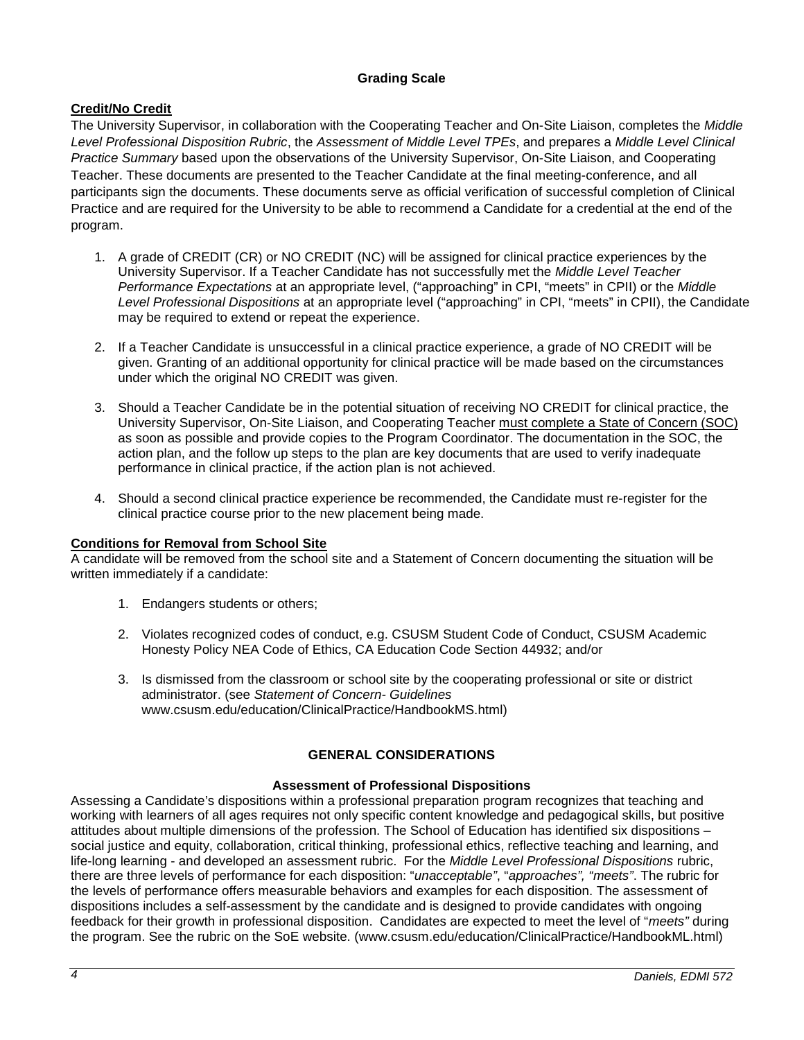# **Grading Scale**

# **Credit/No Credit**

The University Supervisor, in collaboration with the Cooperating Teacher and On-Site Liaison, completes the *Middle Level Professional Disposition Rubric*, the *Assessment of Middle Level TPEs*, and prepares a *Middle Level Clinical Practice Summary* based upon the observations of the University Supervisor, On-Site Liaison, and Cooperating Teacher. These documents are presented to the Teacher Candidate at the final meeting-conference, and all participants sign the documents. These documents serve as official verification of successful completion of Clinical Practice and are required for the University to be able to recommend a Candidate for a credential at the end of the program.

- 1. A grade of CREDIT (CR) or NO CREDIT (NC) will be assigned for clinical practice experiences by the University Supervisor. If a Teacher Candidate has not successfully met the *Middle Level Teacher Performance Expectations* at an appropriate level, ("approaching" in CPI, "meets" in CPII) or the *Middle Level Professional Dispositions* at an appropriate level ("approaching" in CPI, "meets" in CPII), the Candidate may be required to extend or repeat the experience.
- 2. If a Teacher Candidate is unsuccessful in a clinical practice experience, a grade of NO CREDIT will be given. Granting of an additional opportunity for clinical practice will be made based on the circumstances under which the original NO CREDIT was given.
- 3. Should a Teacher Candidate be in the potential situation of receiving NO CREDIT for clinical practice, the University Supervisor, On-Site Liaison, and Cooperating Teacher must complete a State of Concern (SOC) as soon as possible and provide copies to the Program Coordinator. The documentation in the SOC, the action plan, and the follow up steps to the plan are key documents that are used to verify inadequate performance in clinical practice, if the action plan is not achieved.
- 4. Should a second clinical practice experience be recommended, the Candidate must re-register for the clinical practice course prior to the new placement being made.

# **Conditions for Removal from School Site**

A candidate will be removed from the school site and a Statement of Concern documenting the situation will be written immediately if a candidate:

- 1. Endangers students or others;
- 2. Violates recognized codes of conduct, e.g. CSUSM Student Code of Conduct, CSUSM Academic Honesty Policy NEA Code of Ethics, CA Education Code Section 44932; and/or
- 3. Is dismissed from the classroom or school site by the cooperating professional or site or district administrator. (see *Statement of Concern- Guidelines* www.csusm.edu/education/ClinicalPractice/HandbookMS.html)

# **GENERAL CONSIDERATIONS**

# **Assessment of Professional Dispositions**

Assessing a Candidate's dispositions within a professional preparation program recognizes that teaching and working with learners of all ages requires not only specific content knowledge and pedagogical skills, but positive attitudes about multiple dimensions of the profession. The School of Education has identified six dispositions – social justice and equity, collaboration, critical thinking, professional ethics, reflective teaching and learning, and life-long learning - and developed an assessment rubric. For the *Middle Level Professional Dispositions* rubric, there are three levels of performance for each disposition: "*unacceptable"*, "*approaches", "meets"*. The rubric for the levels of performance offers measurable behaviors and examples for each disposition. The assessment of dispositions includes a self-assessment by the candidate and is designed to provide candidates with ongoing feedback for their growth in professional disposition. Candidates are expected to meet the level of "*meets"* during the program. See the rubric on the SoE website. (www.csusm.edu/education/ClinicalPractice/HandbookML.html)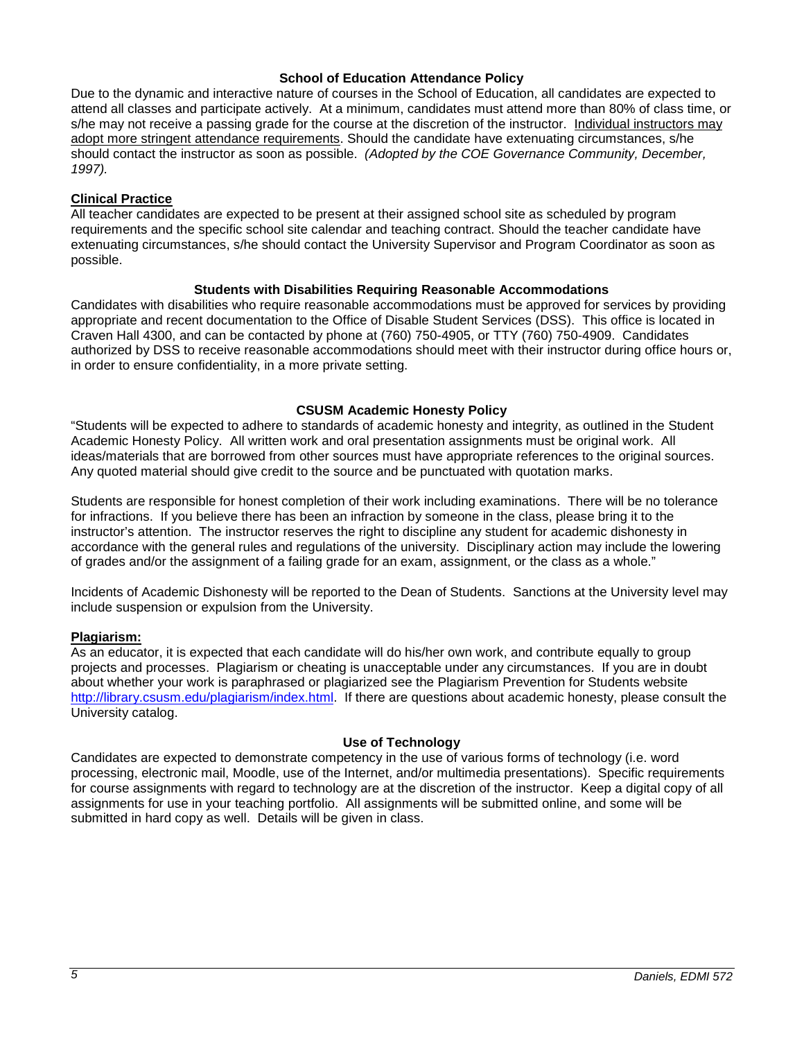### **School of Education Attendance Policy**

Due to the dynamic and interactive nature of courses in the School of Education, all candidates are expected to attend all classes and participate actively. At a minimum, candidates must attend more than 80% of class time, or s/he may not receive a passing grade for the course at the discretion of the instructor. Individual instructors may adopt more stringent attendance requirements. Should the candidate have extenuating circumstances, s/he should contact the instructor as soon as possible. *(Adopted by the COE Governance Community, December, 1997).*

### **Clinical Practice**

All teacher candidates are expected to be present at their assigned school site as scheduled by program requirements and the specific school site calendar and teaching contract. Should the teacher candidate have extenuating circumstances, s/he should contact the University Supervisor and Program Coordinator as soon as possible.

### **Students with Disabilities Requiring Reasonable Accommodations**

Candidates with disabilities who require reasonable accommodations must be approved for services by providing appropriate and recent documentation to the Office of Disable Student Services (DSS). This office is located in Craven Hall 4300, and can be contacted by phone at (760) 750-4905, or TTY (760) 750-4909. Candidates authorized by DSS to receive reasonable accommodations should meet with their instructor during office hours or, in order to ensure confidentiality, in a more private setting.

### **CSUSM Academic Honesty Policy**

"Students will be expected to adhere to standards of academic honesty and integrity, as outlined in the Student Academic Honesty Policy. All written work and oral presentation assignments must be original work. All ideas/materials that are borrowed from other sources must have appropriate references to the original sources. Any quoted material should give credit to the source and be punctuated with quotation marks.

Students are responsible for honest completion of their work including examinations. There will be no tolerance for infractions. If you believe there has been an infraction by someone in the class, please bring it to the instructor's attention. The instructor reserves the right to discipline any student for academic dishonesty in accordance with the general rules and regulations of the university. Disciplinary action may include the lowering of grades and/or the assignment of a failing grade for an exam, assignment, or the class as a whole."

Incidents of Academic Dishonesty will be reported to the Dean of Students. Sanctions at the University level may include suspension or expulsion from the University.

### **Plagiarism:**

As an educator, it is expected that each candidate will do his/her own work, and contribute equally to group projects and processes. Plagiarism or cheating is unacceptable under any circumstances. If you are in doubt about whether your work is paraphrased or plagiarized see the Plagiarism Prevention for Students website [http://library.csusm.edu/plagiarism/index.html.](http://library.csusm.edu/plagiarism/index.html) If there are questions about academic honesty, please consult the University catalog.

#### **Use of Technology**

Candidates are expected to demonstrate competency in the use of various forms of technology (i.e. word processing, electronic mail, Moodle, use of the Internet, and/or multimedia presentations). Specific requirements for course assignments with regard to technology are at the discretion of the instructor. Keep a digital copy of all assignments for use in your teaching portfolio. All assignments will be submitted online, and some will be submitted in hard copy as well. Details will be given in class.